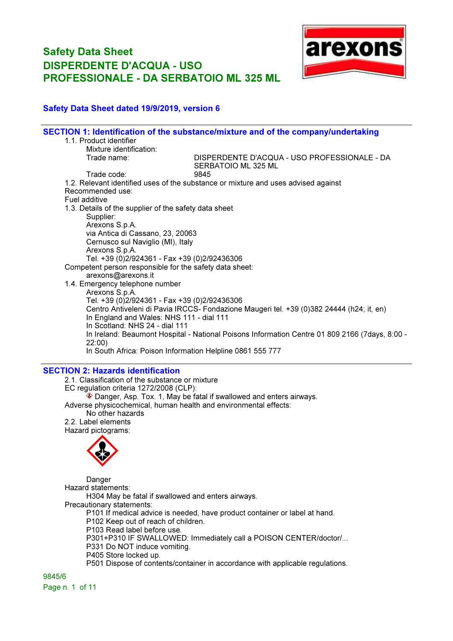

#### Safety Data Sheet dated 19/9/2019, version 6

|                                                           | SECTION 1: Identification of the substance/mixture and of the company/undertaking              |
|-----------------------------------------------------------|------------------------------------------------------------------------------------------------|
| 1.1. Product identifier                                   |                                                                                                |
| Mixture identification:                                   |                                                                                                |
| Trade name:                                               | DISPERDENTE D'ACQUA - USO PROFESSIONALE - DA<br>SERBATOIO ML 325 ML                            |
| Trade code:                                               | 9845                                                                                           |
|                                                           | 1.2. Relevant identified uses of the substance or mixture and uses advised against             |
| Recommended use:                                          |                                                                                                |
| Fuel additive                                             |                                                                                                |
| 1.3. Details of the supplier of the safety data sheet     |                                                                                                |
| Supplier:                                                 |                                                                                                |
| Arexons S.p.A.                                            |                                                                                                |
| via Antica di Cassano, 23, 20063                          |                                                                                                |
| Cernusco sul Naviglio (MI), Italy                         |                                                                                                |
| Arexons S.p.A.                                            |                                                                                                |
| Tel. +39 (0)2/924361 - Fax +39 (0)2/92436306              |                                                                                                |
| Competent person responsible for the safety data sheet:   |                                                                                                |
| arexons@arexons.it                                        |                                                                                                |
| 1.4. Emergency telephone number                           |                                                                                                |
| Arexons S.p.A.                                            |                                                                                                |
| Tel. +39 (0)2/924361 - Fax +39 (0)2/92436306              |                                                                                                |
|                                                           | Centro Antiveleni di Pavia IRCCS- Fondazione Maugeri tel. +39 (0)382 24444 (h24; it, en)       |
| In England and Wales: NHS 111 - dial 111                  |                                                                                                |
| In Scotland: NHS 24 - dial 111                            |                                                                                                |
|                                                           | In Ireland: Beaumont Hospital - National Poisons Information Centre 01 809 2166 (7days, 8:00 - |
| 22:00)                                                    |                                                                                                |
| In South Africa: Poison Information Helpline 0861 555 777 |                                                                                                |
|                                                           |                                                                                                |

#### SECTION 2: Hazards identification

2.1. Classification of the substance or mixture EC regulation criteria 1272/2008 (CLP):  $\hat{\textbf{a}}$  Danger, Asp. Tox. 1, May be fatal if swallowed and enters airways. Adverse physicochemical, human health and environmental effects: No other hazards 2.2. Label elements Hazard pictograms:



Danger Hazard statements: H304 May be fatal if swallowed and enters airways. Precautionary statements: P101 If medical advice is needed, have product container or label at hand. P102 Keep out of reach of children. P103 Read label before use. P301+P310 IF SWALLOWED: Immediately call a POISON CENTER/doctor/... P331 Do NOT induce vomiting.

P405 Store locked up.

P501 Dispose of contents/container in accordance with applicable regulations.

9845/6 Page n. 1 of 11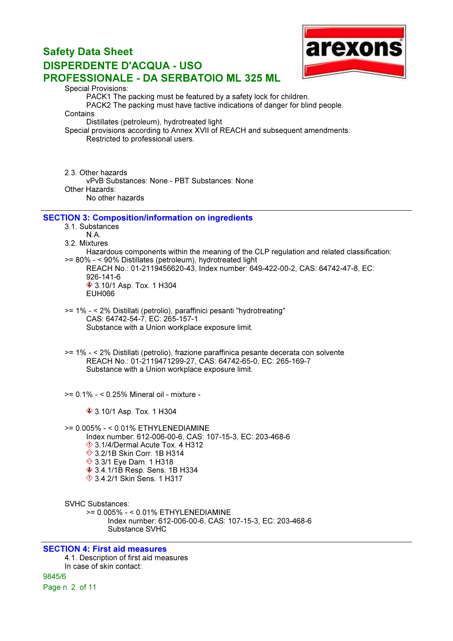

Special Provisions:

PACK1 The packing must be featured by a safety lock for children.

PACK2 The packing must have tactive indications of danger for blind people.

**Contains** 

Distillates (petroleum), hydrotreated light

Special provisions according to Annex XVII of REACH and subsequent amendments: Restricted to professional users.

2.3. Other hazards vPvB Substances: None - PBT Substances: None Other Hazards: No other hazards

#### SECTION 3: Composition/information on ingredients

3.1. Substances N.A.

3.2. Mixtures

Hazardous components within the meaning of the CLP regulation and related classification: >= 80% - < 90% Distillates (petroleum), hydrotreated light

REACH No.: 01-2119456620-43, Index number: 649-422-00-2, CAS: 64742-47-8, EC: 926-141-6 3.10/1 Asp. Tox. 1 H304 EUH066

>= 1% - < 2% Distillati (petrolio), paraffinici pesanti "hydrotreating" CAS: 64742-54-7, EC: 265-157-1 Substance with a Union workplace exposure limit.

>= 1% - < 2% Distillati (petrolio), frazione paraffinica pesante decerata con solvente REACH No.: 01-2119471299-27, CAS: 64742-65-0, EC: 265-169-7 Substance with a Union workplace exposure limit.

>= 0.1% - < 0.25% Mineral oil - mixture -

**♦ 3.10/1 Asp. Tox. 1 H304** 

>= 0.005% - < 0.01% ETHYLENEDIAMINE Index number: 612-006-00-6, CAS: 107-15-3, EC: 203-468-6  $\Diamond$  3.1/4/Dermal Acute Tox. 4 H312 **♦ 3.2/1B Skin Corr. 1B H314 ♦ 3.3/1 Eye Dam. 1 H318 ♦ 3.4.1/1B Resp. Sens. 1B H334** 3.4.2/1 Skin Sens. 1 H317

SVHC Substances: >= 0.005% - < 0.01% ETHYLENEDIAMINE Index number: 612-006-00-6, CAS: 107-15-3, EC: 203-468-6 Substance SVHC

#### SECTION 4: First aid measures 4.1. Description of first aid measures In case of skin contact: 9845/6 Page n. 2 of 11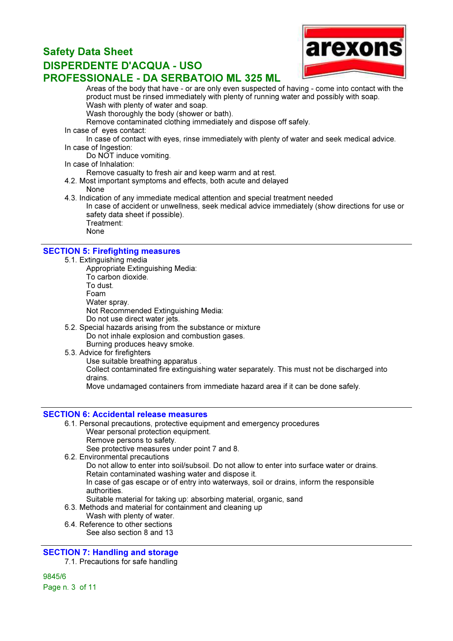

Areas of the body that have - or are only even suspected of having - come into contact with the product must be rinsed immediately with plenty of running water and possibly with soap. Wash with plenty of water and soap.

Wash thoroughly the body (shower or bath).

- Remove contaminated clothing immediately and dispose off safely.
- In case of eyes contact:

In case of contact with eyes, rinse immediately with plenty of water and seek medical advice. In case of Ingestion:

Do NOT induce vomiting.

In case of Inhalation:

Remove casualty to fresh air and keep warm and at rest.

- 4.2. Most important symptoms and effects, both acute and delayed
	- None
- 4.3. Indication of any immediate medical attention and special treatment needed In case of accident or unwellness, seek medical advice immediately (show directions for use or safety data sheet if possible). Treatment:
	- None

#### SECTION 5: Firefighting measures

- 5.1. Extinguishing media
	- Appropriate Extinguishing Media:
	- To carbon dioxide.
	- To dust.
	- Foam
	- Water spray.
	- Not Recommended Extinguishing Media:
	- Do not use direct water jets.
- 5.2. Special hazards arising from the substance or mixture Do not inhale explosion and combustion gases. Burning produces heavy smoke.
- 5.3. Advice for firefighters

Use suitable breathing apparatus .

Collect contaminated fire extinguishing water separately. This must not be discharged into drains.

Move undamaged containers from immediate hazard area if it can be done safely.

#### SECTION 6: Accidental release measures

- 6.1. Personal precautions, protective equipment and emergency procedures Wear personal protection equipment. Remove persons to safety. See protective measures under point 7 and 8.
- 6.2. Environmental precautions

Do not allow to enter into soil/subsoil. Do not allow to enter into surface water or drains. Retain contaminated washing water and dispose it.

In case of gas escape or of entry into waterways, soil or drains, inform the responsible authorities.

- Suitable material for taking up: absorbing material, organic, sand
- 6.3. Methods and material for containment and cleaning up
	- Wash with plenty of water.
- 6.4. Reference to other sections See also section 8 and 13

#### SECTION 7: Handling and storage

7.1. Precautions for safe handling

9845/6 Page n. 3 of 11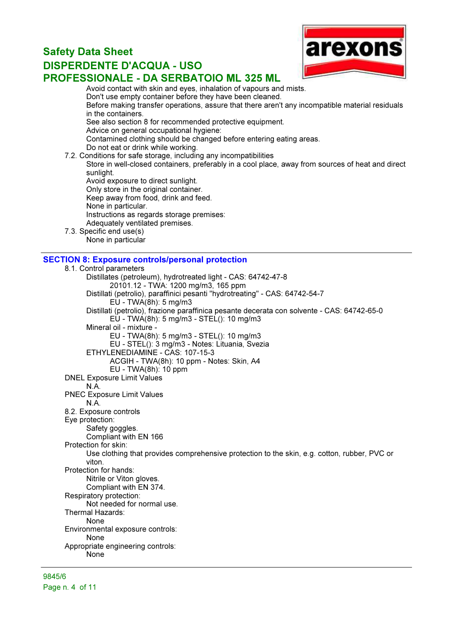

Avoid contact with skin and eyes, inhalation of vapours and mists. Don't use empty container before they have been cleaned. Before making transfer operations, assure that there aren't any incompatible material residuals in the containers. See also section 8 for recommended protective equipment. Advice on general occupational hygiene: Contamined clothing should be changed before entering eating areas. Do not eat or drink while working. 7.2. Conditions for safe storage, including any incompatibilities

Store in well-closed containers, preferably in a cool place, away from sources of heat and direct sunlight.

Avoid exposure to direct sunlight. Only store in the original container. Keep away from food, drink and feed. None in particular. Instructions as regards storage premises: Adequately ventilated premises.

7.3. Specific end use(s) None in particular

#### SECTION 8: Exposure controls/personal protection

8.1. Control parameters Distillates (petroleum), hydrotreated light - CAS: 64742-47-8 20101.12 - TWA: 1200 mg/m3, 165 ppm Distillati (petrolio), paraffinici pesanti "hydrotreating" - CAS: 64742-54-7 EU - TWA(8h): 5 mg/m3 Distillati (petrolio), frazione paraffinica pesante decerata con solvente - CAS: 64742-65-0 EU - TWA(8h): 5 mg/m3 - STEL(): 10 mg/m3 Mineral oil - mixture - EU - TWA(8h): 5 mg/m3 - STEL(): 10 mg/m3 EU - STEL(): 3 mg/m3 - Notes: Lituania, Svezia ETHYLENEDIAMINE - CAS: 107-15-3 ACGIH - TWA(8h): 10 ppm - Notes: Skin, A4 EU - TWA(8h): 10 ppm DNEL Exposure Limit Values N.A. PNEC Exposure Limit Values N.A. 8.2. Exposure controls Eye protection: Safety goggles. Compliant with EN 166 Protection for skin: Use clothing that provides comprehensive protection to the skin, e.g. cotton, rubber, PVC or viton. Protection for hands: Nitrile or Viton gloves. Compliant with EN 374. Respiratory protection: Not needed for normal use. Thermal Hazards: None Environmental exposure controls: None Appropriate engineering controls: None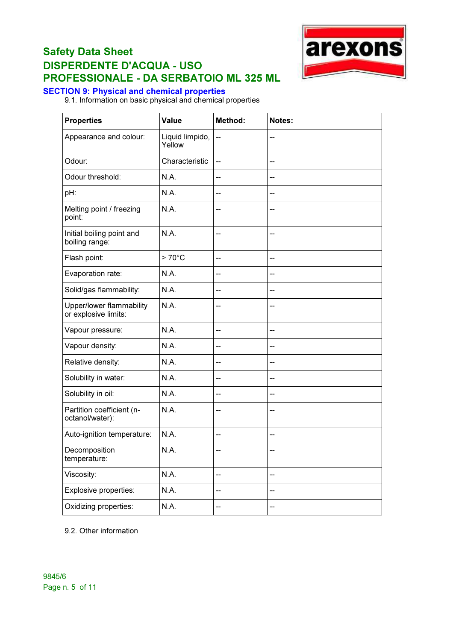

#### SECTION 9: Physical and chemical properties

9.1. Information on basic physical and chemical properties

| <b>Properties</b>                                | Value                     | <b>Method:</b>                        | Notes:                   |
|--------------------------------------------------|---------------------------|---------------------------------------|--------------------------|
| Appearance and colour:                           | Liquid limpido,<br>Yellow | --                                    | --                       |
| Odour:                                           | Characteristic            | $\overline{\phantom{a}}$              |                          |
| Odour threshold:                                 | N.A.                      | $\overline{\phantom{a}}$              | --                       |
| pH:                                              | N.A.                      | $-$                                   |                          |
| Melting point / freezing<br>point:               | <b>N.A.</b>               | --                                    |                          |
| Initial boiling point and<br>boiling range:      | <b>N.A.</b>               | $-$                                   |                          |
| Flash point:                                     | $>70^{\circ}$ C           | $-$                                   | --                       |
| Evaporation rate:                                | N.A.                      | --                                    | --                       |
| Solid/gas flammability:                          | N.A.                      | --                                    |                          |
| Upper/lower flammability<br>or explosive limits: | N.A.                      | $\qquad \qquad -$                     | --                       |
| Vapour pressure:                                 | N.A.                      | --                                    | $-$                      |
| Vapour density:                                  | <b>N.A.</b>               | $\overline{\phantom{a}}$              | $-$                      |
| Relative density:                                | N.A.                      | $-$                                   | $-$                      |
| Solubility in water:                             | <b>N.A.</b>               | $\overline{\phantom{a}}$              | --                       |
| Solubility in oil:                               | N.A.                      | --                                    | $-$                      |
| Partition coefficient (n-<br>octanol/water):     | N.A.                      | $-$                                   | --                       |
| Auto-ignition temperature:                       | N.A.                      | --                                    | --                       |
| Decomposition<br>temperature:                    | N.A.                      | $-$                                   |                          |
| Viscosity:                                       | N.A.                      | $\hspace{0.05cm}$ – $\hspace{0.05cm}$ | $\overline{\phantom{a}}$ |
| Explosive properties:                            | N.A.                      | --                                    |                          |
| Oxidizing properties:                            | N.A.                      | --                                    | --                       |

9.2. Other information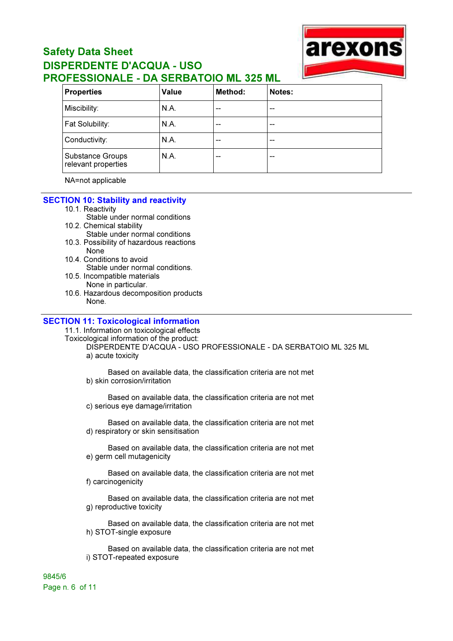

| <b>Properties</b>                       | Value | Method: | Notes: |
|-----------------------------------------|-------|---------|--------|
| Miscibility:                            | N.A.  | --      | --     |
| Fat Solubility:                         | N.A.  | --      | --     |
| Conductivity:                           | N.A.  | --      | --     |
| Substance Groups<br>relevant properties | N.A.  | --      | --     |

NA=not applicable

#### SECTION 10: Stability and reactivity

- 10.1. Reactivity
	- Stable under normal conditions
- 10.2. Chemical stability
	- Stable under normal conditions
- 10.3. Possibility of hazardous reactions None
- 10.4. Conditions to avoid Stable under normal conditions.
- 10.5. Incompatible materials
- None in particular.
- 10.6. Hazardous decomposition products None.

#### SECTION 11: Toxicological information

11.1. Information on toxicological effects

Toxicological information of the product: DISPERDENTE D'ACQUA - USO PROFESSIONALE - DA SERBATOIO ML 325 ML a) acute toxicity

Based on available data, the classification criteria are not met b) skin corrosion/irritation

Based on available data, the classification criteria are not met c) serious eye damage/irritation

Based on available data, the classification criteria are not met d) respiratory or skin sensitisation

Based on available data, the classification criteria are not met e) germ cell mutagenicity

Based on available data, the classification criteria are not met f) carcinogenicity

Based on available data, the classification criteria are not met g) reproductive toxicity

Based on available data, the classification criteria are not met h) STOT-single exposure

Based on available data, the classification criteria are not met i) STOT-repeated exposure

9845/6 Page n. 6 of 11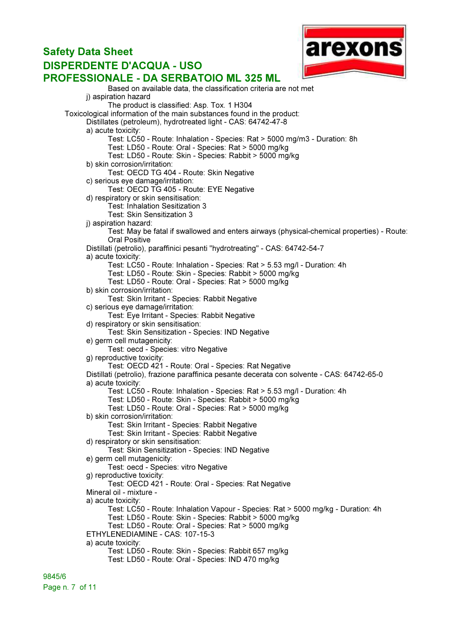#### arexons Safety Data Sheet DISPERDENTE D'ACQUA - USO PROFESSIONALE - DA SERBATOIO ML 325 ML Based on available data, the classification criteria are not met i) aspiration hazard The product is classified: Asp. Tox. 1 H304 Toxicological information of the main substances found in the product: Distillates (petroleum), hydrotreated light - CAS: 64742-47-8 a) acute toxicity: Test: LC50 - Route: Inhalation - Species: Rat > 5000 mg/m3 - Duration: 8h

Test: LD50 - Route: Oral - Species: Rat > 5000 mg/kg Test: LD50 - Route: Skin - Species: Rabbit > 5000 mg/kg b) skin corrosion/irritation: Test: OECD TG 404 - Route: Skin Negative c) serious eye damage/irritation: Test: OECD TG 405 - Route: EYE Negative d) respiratory or skin sensitisation: Test: Inhalation Sesitization 3 Test: Skin Sensitization 3 i) aspiration hazard: Test: May be fatal if swallowed and enters airways (physical-chemical properties) - Route: Oral Positive Distillati (petrolio), paraffinici pesanti "hydrotreating" - CAS: 64742-54-7 a) acute toxicity: Test: LC50 - Route: Inhalation - Species: Rat > 5.53 mg/l - Duration: 4h Test: LD50 - Route: Skin - Species: Rabbit > 5000 mg/kg Test: LD50 - Route: Oral - Species: Rat > 5000 mg/kg b) skin corrosion/irritation: Test: Skin Irritant - Species: Rabbit Negative c) serious eye damage/irritation: Test: Eye Irritant - Species: Rabbit Negative d) respiratory or skin sensitisation: Test: Skin Sensitization - Species: IND Negative e) germ cell mutagenicity: Test: oecd - Species: vitro Negative g) reproductive toxicity: Test: OECD 421 - Route: Oral - Species: Rat Negative Distillati (petrolio), frazione paraffinica pesante decerata con solvente - CAS: 64742-65-0 a) acute toxicity: Test: LC50 - Route: Inhalation - Species: Rat > 5.53 mg/l - Duration: 4h Test: LD50 - Route: Skin - Species: Rabbit > 5000 mg/kg Test: LD50 - Route: Oral - Species: Rat > 5000 mg/kg b) skin corrosion/irritation: Test: Skin Irritant - Species: Rabbit Negative Test: Skin Irritant - Species: Rabbit Negative d) respiratory or skin sensitisation: Test: Skin Sensitization - Species: IND Negative e) germ cell mutagenicity: Test: oecd - Species: vitro Negative g) reproductive toxicity: Test: OECD 421 - Route: Oral - Species: Rat Negative Mineral oil - mixture a) acute toxicity: Test: LC50 - Route: Inhalation Vapour - Species: Rat > 5000 mg/kg - Duration: 4h Test: LD50 - Route: Skin - Species: Rabbit > 5000 mg/kg Test: LD50 - Route: Oral - Species: Rat > 5000 mg/kg ETHYLENEDIAMINE - CAS: 107-15-3 a) acute toxicity: Test: LD50 - Route: Skin - Species: Rabbit 657 mg/kg Test: LD50 - Route: Oral - Species: IND 470 mg/kg

9845/6 Page n. 7 of 11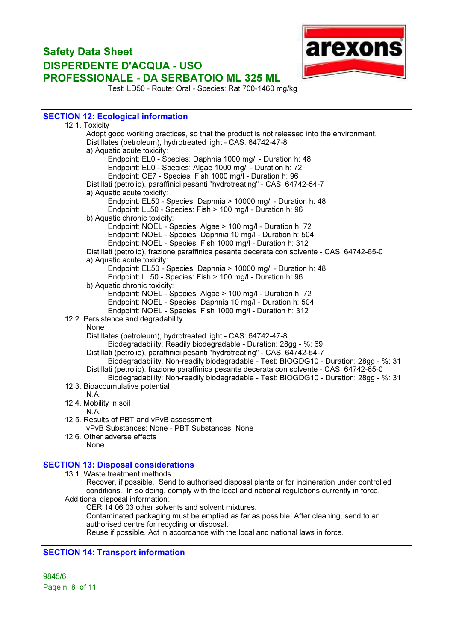

Test: LD50 - Route: Oral - Species: Rat 700-1460 mg/kg

#### SECTION 12: Ecological information

| 12.1. Toxicity                                                                              |  |
|---------------------------------------------------------------------------------------------|--|
| Adopt good working practices, so that the product is not released into the environment.     |  |
| Distillates (petroleum), hydrotreated light - CAS: 64742-47-8                               |  |
| a) Aquatic acute toxicity:                                                                  |  |
| Endpoint: EL0 - Species: Daphnia 1000 mg/l - Duration h: 48                                 |  |
| Endpoint: EL0 - Species: Algae 1000 mg/l - Duration h: 72                                   |  |
| Endpoint: CE7 - Species: Fish 1000 mg/l - Duration h: 96                                    |  |
| Distillati (petrolio), paraffinici pesanti "hydrotreating" - CAS: 64742-54-7                |  |
| a) Aquatic acute toxicity:                                                                  |  |
| Endpoint: EL50 - Species: Daphnia > 10000 mg/l - Duration h: 48                             |  |
| Endpoint: LL50 - Species: Fish > 100 mg/l - Duration h: 96                                  |  |
| b) Aquatic chronic toxicity:                                                                |  |
| Endpoint: NOEL - Species: Algae > 100 mg/l - Duration h: 72                                 |  |
| Endpoint: NOEL - Species: Daphnia 10 mg/l - Duration h: 504                                 |  |
| Endpoint: NOEL - Species: Fish 1000 mg/l - Duration h: 312                                  |  |
| Distillati (petrolio), frazione paraffinica pesante decerata con solvente - CAS: 64742-65-0 |  |
| a) Aquatic acute toxicity:                                                                  |  |
| Endpoint: EL50 - Species: Daphnia > 10000 mg/l - Duration h: 48                             |  |
| Endpoint: LL50 - Species: Fish > 100 mg/l - Duration h: 96                                  |  |
| b) Aquatic chronic toxicity:                                                                |  |
| Endpoint: NOEL - Species: Algae > 100 mg/l - Duration h: 72                                 |  |
| Endpoint: NOEL - Species: Daphnia 10 mg/l - Duration h: 504                                 |  |
| Endpoint: NOEL - Species: Fish 1000 mg/l - Duration h: 312                                  |  |
| 12.2. Persistence and degradability                                                         |  |
| None                                                                                        |  |
| Distillates (petroleum), hydrotreated light - CAS: 64742-47-8                               |  |
| Biodegradability: Readily biodegradable - Duration: 28gg - %: 69                            |  |
| Distillati (petrolio), paraffinici pesanti "hydrotreating" - CAS: 64742-54-7                |  |
| Biodegradability: Non-readily biodegradable - Test: BIOGDG10 - Duration: 28gg - %: 31       |  |
| Distillati (petrolio), frazione paraffinica pesante decerata con solvente - CAS: 64742-65-0 |  |
| Biodegradability: Non-readily biodegradable - Test: BIOGDG10 - Duration: 28gg - %: 31       |  |
| 12.3. Bioaccumulative potential                                                             |  |
| N.A.                                                                                        |  |
| 12.4. Mobility in soil                                                                      |  |
| <b>N.A.</b>                                                                                 |  |
| 12.5. Results of PBT and vPvB assessment                                                    |  |
| vPvB Substances: None - PBT Substances: None                                                |  |
| 12.6. Other adverse effects                                                                 |  |
| None                                                                                        |  |
|                                                                                             |  |

#### SECTION 13: Disposal considerations

13.1. Waste treatment methods

Recover, if possible. Send to authorised disposal plants or for incineration under controlled conditions. In so doing, comply with the local and national regulations currently in force. Additional disposal information:

CER 14 06 03 other solvents and solvent mixtures.

Contaminated packaging must be emptied as far as possible. After cleaning, send to an authorised centre for recycling or disposal.

Reuse if possible. Act in accordance with the local and national laws in force.

#### SECTION 14: Transport information

9845/6 Page n. 8 of 11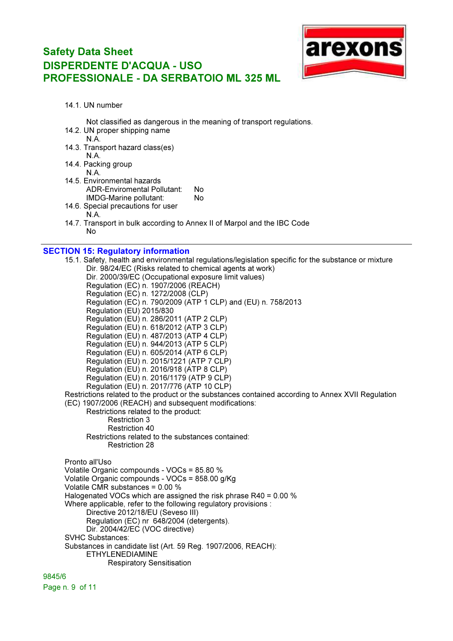

14.1. UN number

Not classified as dangerous in the meaning of transport regulations.

- 14.2. UN proper shipping name
	- N.A.
- 14.3. Transport hazard class(es)
- N.A. 14.4. Packing group

N.A.

- 14.5. Environmental hazards ADR-Enviromental Pollutant: No IMDG-Marine pollutant: No
- 14.6. Special precautions for user N.A.
- 14.7. Transport in bulk according to Annex II of Marpol and the IBC Code  $N<sub>0</sub>$

#### SECTION 15: Regulatory information

15.1. Safety, health and environmental regulations/legislation specific for the substance or mixture Dir. 98/24/EC (Risks related to chemical agents at work) Dir. 2000/39/EC (Occupational exposure limit values) Regulation (EC) n. 1907/2006 (REACH) Regulation (EC) n. 1272/2008 (CLP) Regulation (EC) n. 790/2009 (ATP 1 CLP) and (EU) n. 758/2013 Regulation (EU) 2015/830 Regulation (EU) n. 286/2011 (ATP 2 CLP) Regulation (EU) n. 618/2012 (ATP 3 CLP) Regulation (EU) n. 487/2013 (ATP 4 CLP) Regulation (EU) n. 944/2013 (ATP 5 CLP) Regulation (EU) n. 605/2014 (ATP 6 CLP) Regulation (EU) n. 2015/1221 (ATP 7 CLP) Regulation (EU) n. 2016/918 (ATP 8 CLP) Regulation (EU) n. 2016/1179 (ATP 9 CLP) Regulation (EU) n. 2017/776 (ATP 10 CLP) Restrictions related to the product or the substances contained according to Annex XVII Regulation (EC) 1907/2006 (REACH) and subsequent modifications: Restrictions related to the product: Restriction 3 Restriction 40 Restrictions related to the substances contained: Restriction 28 Pronto all'Uso Volatile Organic compounds - VOCs = 85.80 % Volatile Organic compounds - VOCs = 858.00 g/Kg Volatile CMR substances = 0.00 % Halogenated VOCs which are assigned the risk phrase R40 = 0.00 % Where applicable, refer to the following regulatory provisions : Directive 2012/18/EU (Seveso III) Regulation (EC) nr 648/2004 (detergents). Dir. 2004/42/EC (VOC directive) SVHC Substances: Substances in candidate list (Art. 59 Reg. 1907/2006, REACH): ETHYLENEDIAMINE Respiratory Sensitisation

9845/6 Page n. 9 of 11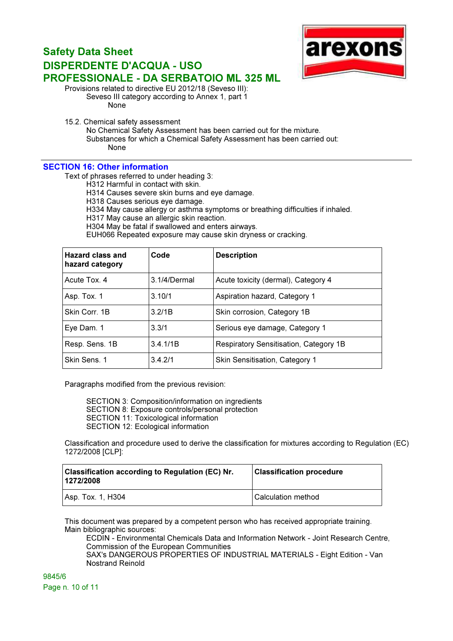

Provisions related to directive EU 2012/18 (Seveso III): Seveso III category according to Annex 1, part 1

None

15.2. Chemical safety assessment

No Chemical Safety Assessment has been carried out for the mixture.

Substances for which a Chemical Safety Assessment has been carried out: None

#### SECTION 16: Other information

Text of phrases referred to under heading 3:

H312 Harmful in contact with skin.

H314 Causes severe skin burns and eye damage.

H318 Causes serious eye damage.

H334 May cause allergy or asthma symptoms or breathing difficulties if inhaled.

H317 May cause an allergic skin reaction.

H304 May be fatal if swallowed and enters airways.

EUH066 Repeated exposure may cause skin dryness or cracking.

| Hazard class and<br>hazard category | Code         | <b>Description</b>                     |
|-------------------------------------|--------------|----------------------------------------|
| Acute Tox. 4                        | 3.1/4/Dermal | Acute toxicity (dermal), Category 4    |
| Asp. Tox. 1                         | 3.10/1       | Aspiration hazard, Category 1          |
| Skin Corr. 1B                       | 3.2/1B       | Skin corrosion, Category 1B            |
| Eye Dam. 1                          | 3.3/1        | Serious eye damage, Category 1         |
| Resp. Sens. 1B                      | 3.4.1/1B     | Respiratory Sensitisation, Category 1B |
| Skin Sens. 1                        | 3.4.2/1      | Skin Sensitisation, Category 1         |

Paragraphs modified from the previous revision:

SECTION 3: Composition/information on ingredients SECTION 8: Exposure controls/personal protection SECTION 11: Toxicological information SECTION 12: Ecological information

Classification and procedure used to derive the classification for mixtures according to Regulation (EC) 1272/2008 [CLP]:

| <b>Classification according to Regulation (EC) Nr.</b><br> 1272/2008 | <b>Classification procedure</b> |  |
|----------------------------------------------------------------------|---------------------------------|--|
| Asp. Tox. 1, H304                                                    | Calculation method              |  |

This document was prepared by a competent person who has received appropriate training. Main bibliographic sources:

ECDIN - Environmental Chemicals Data and Information Network - Joint Research Centre, Commission of the European Communities

SAX's DANGEROUS PROPERTIES OF INDUSTRIAL MATERIALS - Eight Edition - Van Nostrand Reinold

9845/6 Page n. 10 of 11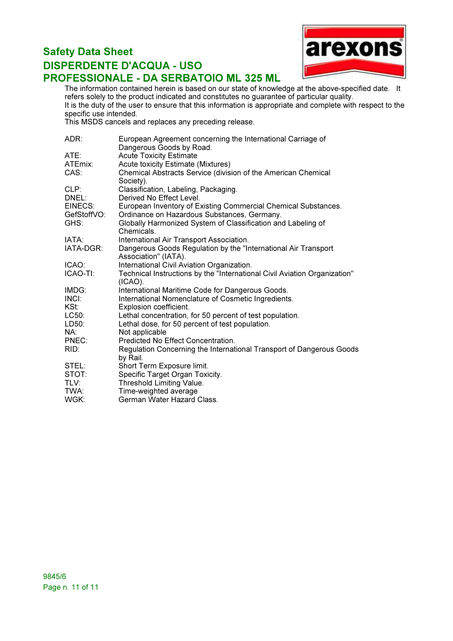

The information contained herein is based on our state of knowledge at the above-specified date. It refers solely to the product indicated and constitutes no guarantee of particular quality. It is the duty of the user to ensure that this information is appropriate and complete with respect to the specific use intended.

This MSDS cancels and replaces any preceding release.

| ADR:        | European Agreement concerning the International Carriage of                             |
|-------------|-----------------------------------------------------------------------------------------|
|             | Dangerous Goods by Road.                                                                |
| ATE:        | <b>Acute Toxicity Estimate</b>                                                          |
| ATEmix:     | Acute toxicity Estimate (Mixtures)                                                      |
| CAS:        | Chemical Abstracts Service (division of the American Chemical<br>Society).              |
| CLP:        | Classification, Labeling, Packaging.                                                    |
| DNEL:       | Derived No Effect Level.                                                                |
| EINECS:     | European Inventory of Existing Commercial Chemical Substances.                          |
| GefStoffVO: | Ordinance on Hazardous Substances, Germany.                                             |
| GHS:        | Globally Harmonized System of Classification and Labeling of<br>Chemicals.              |
| IATA:       | International Air Transport Association.                                                |
| IATA-DGR:   | Dangerous Goods Regulation by the "International Air Transport                          |
|             | Association" (IATA).                                                                    |
| ICAO:       | International Civil Aviation Organization.                                              |
| ICAO-TI:    | Technical Instructions by the "International Civil Aviation Organization"<br>$(ICAO)$ . |
| IMDG:       | International Maritime Code for Dangerous Goods.                                        |
| INCI:       | International Nomenclature of Cosmetic Ingredients.                                     |
| KSt:        | Explosion coefficient.                                                                  |
| LC50:       | Lethal concentration, for 50 percent of test population.                                |
| LD50:       | Lethal dose, for 50 percent of test population.                                         |
| NA:         | Not applicable                                                                          |
| PNEC:       | Predicted No Effect Concentration.                                                      |
| RID:        | Regulation Concerning the International Transport of Dangerous Goods                    |
|             | by Rail.                                                                                |
| STEL:       | Short Term Exposure limit.                                                              |
| STOT:       | Specific Target Organ Toxicity.                                                         |
| TLV:        | Threshold Limiting Value.                                                               |
| TWA:        | Time-weighted average                                                                   |
| WGK:        | German Water Hazard Class.                                                              |
|             |                                                                                         |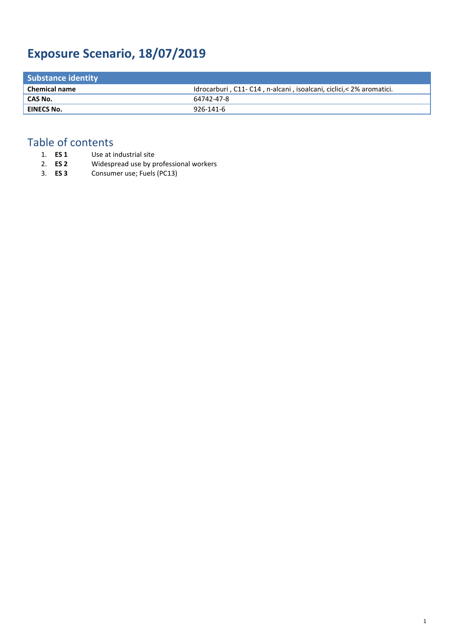# **Exposure Scenario, 18/07/2019**

| <b>Substance identity</b> |                                                                     |
|---------------------------|---------------------------------------------------------------------|
| <b>Chemical name</b>      | Idrocarburi, C11-C14, n-alcani, isoalcani, ciclici, < 2% aromatici. |
| CAS No.                   | 64742-47-8                                                          |
| <b>EINECS No.</b>         | 926-141-6                                                           |
|                           |                                                                     |

# Table of contents<br>1. **ES 1** Use at i

- 1. **ES 1** Use at industrial site<br>2. **ES 2** Widespread use by p
- 2. **ES 2** Widespread use by professional workers
- 3. **ES 3** Consumer use; Fuels (PC13)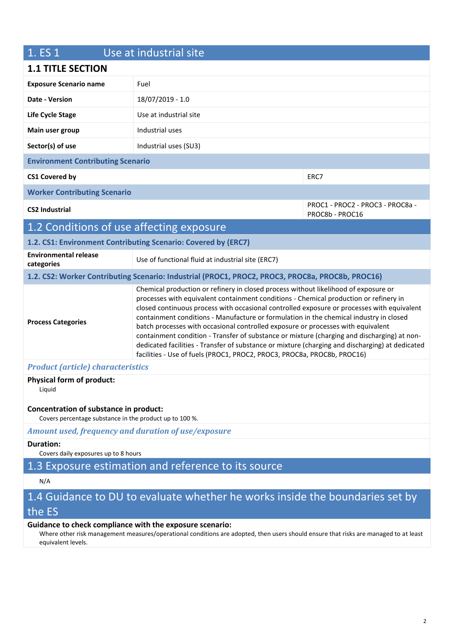| 1. ES 1                                                                                           | Use at industrial site                                                                                                                                                                                                                                                                                                                                                                                                                                                                                                                                                                                                                                                                                                                |                                                     |  |
|---------------------------------------------------------------------------------------------------|---------------------------------------------------------------------------------------------------------------------------------------------------------------------------------------------------------------------------------------------------------------------------------------------------------------------------------------------------------------------------------------------------------------------------------------------------------------------------------------------------------------------------------------------------------------------------------------------------------------------------------------------------------------------------------------------------------------------------------------|-----------------------------------------------------|--|
| <b>1.1 TITLE SECTION</b>                                                                          |                                                                                                                                                                                                                                                                                                                                                                                                                                                                                                                                                                                                                                                                                                                                       |                                                     |  |
| <b>Exposure Scenario name</b>                                                                     | Fuel                                                                                                                                                                                                                                                                                                                                                                                                                                                                                                                                                                                                                                                                                                                                  |                                                     |  |
| Date - Version                                                                                    | 18/07/2019 - 1.0                                                                                                                                                                                                                                                                                                                                                                                                                                                                                                                                                                                                                                                                                                                      |                                                     |  |
| Life Cycle Stage                                                                                  | Use at industrial site                                                                                                                                                                                                                                                                                                                                                                                                                                                                                                                                                                                                                                                                                                                |                                                     |  |
| Main user group                                                                                   | Industrial uses                                                                                                                                                                                                                                                                                                                                                                                                                                                                                                                                                                                                                                                                                                                       |                                                     |  |
| Sector(s) of use                                                                                  | Industrial uses (SU3)                                                                                                                                                                                                                                                                                                                                                                                                                                                                                                                                                                                                                                                                                                                 |                                                     |  |
| <b>Environment Contributing Scenario</b>                                                          |                                                                                                                                                                                                                                                                                                                                                                                                                                                                                                                                                                                                                                                                                                                                       |                                                     |  |
| <b>CS1 Covered by</b>                                                                             |                                                                                                                                                                                                                                                                                                                                                                                                                                                                                                                                                                                                                                                                                                                                       | ERC7                                                |  |
| <b>Worker Contributing Scenario</b>                                                               |                                                                                                                                                                                                                                                                                                                                                                                                                                                                                                                                                                                                                                                                                                                                       |                                                     |  |
| <b>CS2 Industrial</b>                                                                             |                                                                                                                                                                                                                                                                                                                                                                                                                                                                                                                                                                                                                                                                                                                                       | PROC1 - PROC2 - PROC3 - PROC8a -<br>PROC8b - PROC16 |  |
| 1.2 Conditions of use affecting exposure                                                          |                                                                                                                                                                                                                                                                                                                                                                                                                                                                                                                                                                                                                                                                                                                                       |                                                     |  |
|                                                                                                   | 1.2. CS1: Environment Contributing Scenario: Covered by (ERC7)                                                                                                                                                                                                                                                                                                                                                                                                                                                                                                                                                                                                                                                                        |                                                     |  |
| <b>Environmental release</b><br>categories                                                        | Use of functional fluid at industrial site (ERC7)                                                                                                                                                                                                                                                                                                                                                                                                                                                                                                                                                                                                                                                                                     |                                                     |  |
|                                                                                                   | 1.2. CS2: Worker Contributing Scenario: Industrial (PROC1, PROC2, PROC3, PROC8a, PROC8b, PROC16)                                                                                                                                                                                                                                                                                                                                                                                                                                                                                                                                                                                                                                      |                                                     |  |
| <b>Process Categories</b>                                                                         | Chemical production or refinery in closed process without likelihood of exposure or<br>processes with equivalent containment conditions - Chemical production or refinery in<br>closed continuous process with occasional controlled exposure or processes with equivalent<br>containment conditions - Manufacture or formulation in the chemical industry in closed<br>batch processes with occasional controlled exposure or processes with equivalent<br>containment condition - Transfer of substance or mixture (charging and discharging) at non-<br>dedicated facilities - Transfer of substance or mixture (charging and discharging) at dedicated<br>facilities - Use of fuels (PROC1, PROC2, PROC3, PROC8a, PROC8b, PROC16) |                                                     |  |
| <b>Product (article) characteristics</b>                                                          |                                                                                                                                                                                                                                                                                                                                                                                                                                                                                                                                                                                                                                                                                                                                       |                                                     |  |
| <b>Physical form of product:</b><br>Liquid                                                        |                                                                                                                                                                                                                                                                                                                                                                                                                                                                                                                                                                                                                                                                                                                                       |                                                     |  |
| Concentration of substance in product:<br>Covers percentage substance in the product up to 100 %. |                                                                                                                                                                                                                                                                                                                                                                                                                                                                                                                                                                                                                                                                                                                                       |                                                     |  |
| Amount used, frequency and duration of use/exposure                                               |                                                                                                                                                                                                                                                                                                                                                                                                                                                                                                                                                                                                                                                                                                                                       |                                                     |  |
| <b>Duration:</b><br>Covers daily exposures up to 8 hours                                          |                                                                                                                                                                                                                                                                                                                                                                                                                                                                                                                                                                                                                                                                                                                                       |                                                     |  |
| 1.3 Exposure estimation and reference to its source                                               |                                                                                                                                                                                                                                                                                                                                                                                                                                                                                                                                                                                                                                                                                                                                       |                                                     |  |
| N/A                                                                                               |                                                                                                                                                                                                                                                                                                                                                                                                                                                                                                                                                                                                                                                                                                                                       |                                                     |  |
|                                                                                                   | 1.4 Guidance to DU to evaluate whether he works inside the boundaries set by                                                                                                                                                                                                                                                                                                                                                                                                                                                                                                                                                                                                                                                          |                                                     |  |
| the ES                                                                                            |                                                                                                                                                                                                                                                                                                                                                                                                                                                                                                                                                                                                                                                                                                                                       |                                                     |  |

#### **Guidance to check compliance with the exposure scenario:**

Where other risk management measures/operational conditions are adopted, then users should ensure that risks are managed to at least equivalent levels.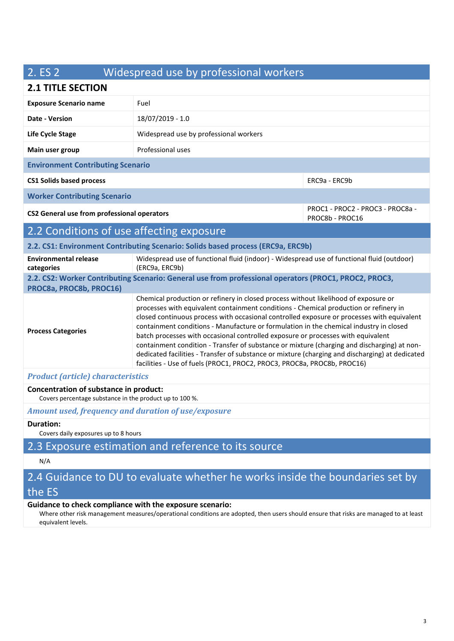## 2. ES 2 Widespread use by professional workers

#### **2.1 TITLE SECTION**

| 4.1 IIILL JLUIIUN                                                                                                                                                                                                                                                                                                                                                                                                                                                                                                                                                                                                                                                                                                                                                  |                                                                                                              |               |  |
|--------------------------------------------------------------------------------------------------------------------------------------------------------------------------------------------------------------------------------------------------------------------------------------------------------------------------------------------------------------------------------------------------------------------------------------------------------------------------------------------------------------------------------------------------------------------------------------------------------------------------------------------------------------------------------------------------------------------------------------------------------------------|--------------------------------------------------------------------------------------------------------------|---------------|--|
| <b>Exposure Scenario name</b>                                                                                                                                                                                                                                                                                                                                                                                                                                                                                                                                                                                                                                                                                                                                      | Fuel                                                                                                         |               |  |
| Date - Version                                                                                                                                                                                                                                                                                                                                                                                                                                                                                                                                                                                                                                                                                                                                                     | 18/07/2019 - 1.0                                                                                             |               |  |
| Life Cycle Stage                                                                                                                                                                                                                                                                                                                                                                                                                                                                                                                                                                                                                                                                                                                                                   | Widespread use by professional workers                                                                       |               |  |
| Main user group                                                                                                                                                                                                                                                                                                                                                                                                                                                                                                                                                                                                                                                                                                                                                    | Professional uses                                                                                            |               |  |
| <b>Environment Contributing Scenario</b>                                                                                                                                                                                                                                                                                                                                                                                                                                                                                                                                                                                                                                                                                                                           |                                                                                                              |               |  |
| <b>CS1 Solids based process</b>                                                                                                                                                                                                                                                                                                                                                                                                                                                                                                                                                                                                                                                                                                                                    |                                                                                                              | ERC9a - ERC9b |  |
| <b>Worker Contributing Scenario</b>                                                                                                                                                                                                                                                                                                                                                                                                                                                                                                                                                                                                                                                                                                                                |                                                                                                              |               |  |
| PROC1 - PROC2 - PROC3 - PROC8a -<br>CS2 General use from professional operators<br>PROC8b - PROC16                                                                                                                                                                                                                                                                                                                                                                                                                                                                                                                                                                                                                                                                 |                                                                                                              |               |  |
| 2.2 Conditions of use affecting exposure                                                                                                                                                                                                                                                                                                                                                                                                                                                                                                                                                                                                                                                                                                                           |                                                                                                              |               |  |
| 2.2. CS1: Environment Contributing Scenario: Solids based process (ERC9a, ERC9b)                                                                                                                                                                                                                                                                                                                                                                                                                                                                                                                                                                                                                                                                                   |                                                                                                              |               |  |
| <b>Environmental release</b><br>categories                                                                                                                                                                                                                                                                                                                                                                                                                                                                                                                                                                                                                                                                                                                         | Widespread use of functional fluid (indoor) - Widespread use of functional fluid (outdoor)<br>(ERC9a, ERC9b) |               |  |
| 2.2. CS2: Worker Contributing Scenario: General use from professional operators (PROC1, PROC2, PROC3,<br>PROC8a, PROC8b, PROC16)                                                                                                                                                                                                                                                                                                                                                                                                                                                                                                                                                                                                                                   |                                                                                                              |               |  |
| Chemical production or refinery in closed process without likelihood of exposure or<br>processes with equivalent containment conditions - Chemical production or refinery in<br>closed continuous process with occasional controlled exposure or processes with equivalent<br>containment conditions - Manufacture or formulation in the chemical industry in closed<br><b>Process Categories</b><br>batch processes with occasional controlled exposure or processes with equivalent<br>containment condition - Transfer of substance or mixture (charging and discharging) at non-<br>dedicated facilities - Transfer of substance or mixture (charging and discharging) at dedicated<br>facilities - Use of fuels (PROC1, PROC2, PROC3, PROC8a, PROC8b, PROC16) |                                                                                                              |               |  |
| <b>Product (article) characteristics</b>                                                                                                                                                                                                                                                                                                                                                                                                                                                                                                                                                                                                                                                                                                                           |                                                                                                              |               |  |

#### *Product (article) characteristics*

**Concentration of substance in product:**  Covers percentage substance in the product up to 100 %.

*Amount used, frequency and duration of use/exposure*

#### **Duration:**

Covers daily exposures up to 8 hours

### 2.3 Exposure estimation and reference to its source

#### N/A

## 2.4 Guidance to DU to evaluate whether he works inside the boundaries set by the ES

#### **Guidance to check compliance with the exposure scenario:**

Where other risk management measures/operational conditions are adopted, then users should ensure that risks are managed to at least equivalent levels.